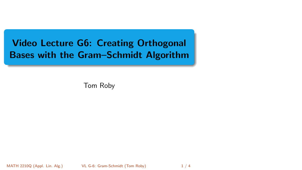<span id="page-0-0"></span>Video Lecture G6: Creating Orthogonal Bases with the Gram–Schmidt Algorithm

Tom Roby

MATH 2210Q (Appl. Lin. Alg.) [VL G-6: Gram-Schmidt](#page-3-0) (Tom Roby) 1 / 4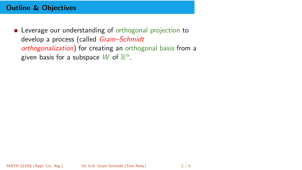## Outline & Objectives

Leverage our understanding of orthogonal projection to develop a process (called Gram-Schmidt orthogonalization) for creating an orthogonal basis from a given basis for a subspace  $W$  of  $\mathbb{R}^n$ .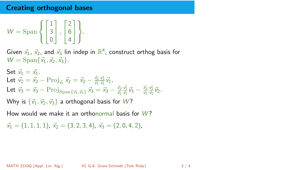## Creating orthogonal bases

$$
W = \text{Span}\left\{ \begin{bmatrix} 1 \\ 3 \\ 0 \end{bmatrix}, \begin{bmatrix} 2 \\ 6 \\ 4 \end{bmatrix} \right\}.
$$

Given  $\vec{x}_1$ ,  $\vec{x}_2$ , and  $\vec{x}_3$  lin indep in  $\mathbb{R}^4$ , construct orthog basis for  $W = \text{Span}\{\vec{x}_1, \vec{x}_2, \vec{x}_3\}.$ 

Set 
$$
\vec{v}_1 = \vec{x}_1
$$
.  
\nLet  $\vec{v}_2 = \vec{x}_2 - \text{Proj}_{\vec{v}_1} \vec{x}_2 = \vec{x}_2 - \frac{\vec{x}_2 \cdot \vec{v}_1}{\vec{v}_1 \cdot \vec{v}_1} \vec{v}_1$ .  
\nLet  $\vec{v}_3 = \vec{x}_3 - \text{Proj}_{Span{\{\vec{v}_1, \vec{v}_2\}}}\vec{x}_3 = \vec{x}_3 - \frac{\vec{x}_3 \cdot \vec{v}_1}{\vec{v}_1 \cdot \vec{v}_1} \vec{v}_1 - \frac{\vec{x}_3 \cdot \vec{v}_2}{\vec{v}_2 \cdot \vec{v}_2} \vec{v}_2$ .  
\nWhy is  $\{\vec{v}_1, \vec{v}_2, \vec{v}_3\}$  a orthogonal basis for W?

How would we make it an orthonormal basis for  $W$ ?

 $\vec{x}_1 = (1, 1, 1, 1), \vec{x}_2 = (3, 2, 3, 4), \vec{x}_3 = (2, 0, 4, 2),$